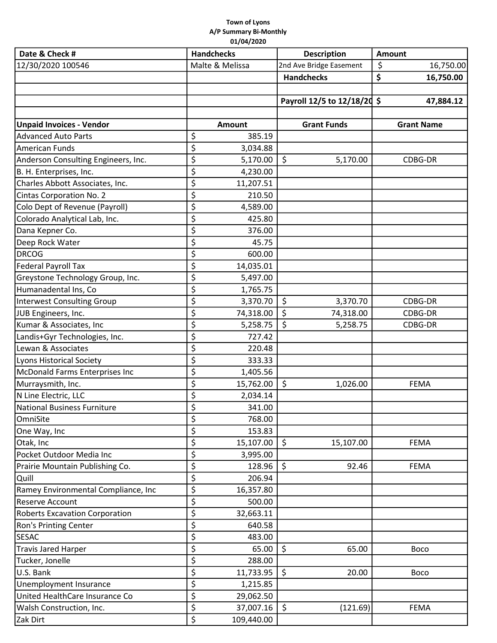## Town of Lyons A/P Summary Bi-Monthly 01/04/2020

| Date & Check #                        | <b>Handchecks</b> | <b>Description</b>          | <b>Amount</b>     |  |
|---------------------------------------|-------------------|-----------------------------|-------------------|--|
| 12/30/2020 100546                     | Malte & Melissa   | 2nd Ave Bridge Easement     | \$<br>16,750.00   |  |
|                                       |                   | <b>Handchecks</b>           | \$<br>16,750.00   |  |
|                                       |                   |                             |                   |  |
|                                       |                   | Payroll 12/5 to 12/18/20 \$ | 47,884.12         |  |
|                                       |                   |                             |                   |  |
| <b>Unpaid Invoices - Vendor</b>       | Amount            | <b>Grant Funds</b>          | <b>Grant Name</b> |  |
| <b>Advanced Auto Parts</b>            | \$<br>385.19      |                             |                   |  |
| <b>American Funds</b>                 | \$<br>3,034.88    |                             |                   |  |
| Anderson Consulting Engineers, Inc.   | \$<br>5,170.00    | \$<br>5,170.00              | CDBG-DR           |  |
| B. H. Enterprises, Inc.               | \$<br>4,230.00    |                             |                   |  |
| Charles Abbott Associates, Inc.       | \$<br>11,207.51   |                             |                   |  |
| <b>Cintas Corporation No. 2</b>       | \$<br>210.50      |                             |                   |  |
| Colo Dept of Revenue (Payroll)        | \$<br>4,589.00    |                             |                   |  |
| Colorado Analytical Lab, Inc.         | \$<br>425.80      |                             |                   |  |
| Dana Kepner Co.                       | \$<br>376.00      |                             |                   |  |
| Deep Rock Water                       | \$<br>45.75       |                             |                   |  |
| <b>DRCOG</b>                          | \$<br>600.00      |                             |                   |  |
| <b>Federal Payroll Tax</b>            | \$<br>14,035.01   |                             |                   |  |
| Greystone Technology Group, Inc.      | \$<br>5,497.00    |                             |                   |  |
| Humanadental Ins, Co                  | \$<br>1,765.75    |                             |                   |  |
| Interwest Consulting Group            | \$<br>3,370.70    | \$<br>3,370.70              | CDBG-DR           |  |
| JUB Engineers, Inc.                   | \$<br>74,318.00   | \$<br>74,318.00             | CDBG-DR           |  |
| Kumar & Associates, Inc               | \$<br>5,258.75    | \$<br>5,258.75              | CDBG-DR           |  |
| Landis+Gyr Technologies, Inc.         | \$<br>727.42      |                             |                   |  |
| Lewan & Associates                    | \$<br>220.48      |                             |                   |  |
| Lyons Historical Society              | \$<br>333.33      |                             |                   |  |
| McDonald Farms Enterprises Inc        | \$<br>1,405.56    |                             |                   |  |
| Murraysmith, Inc.                     | \$<br>15,762.00   | \$<br>1,026.00              | <b>FEMA</b>       |  |
| N Line Electric, LLC                  | \$<br>2,034.14    |                             |                   |  |
| National Business Furniture           | ¢<br>341.00       |                             |                   |  |
| OmniSite                              | \$<br>768.00      |                             |                   |  |
| One Way, Inc                          | \$<br>153.83      |                             |                   |  |
| Otak, Inc                             | \$<br>15,107.00   | \$<br>15,107.00             | <b>FEMA</b>       |  |
| Pocket Outdoor Media Inc              | \$<br>3,995.00    |                             |                   |  |
| Prairie Mountain Publishing Co.       | \$<br>128.96      | \$<br>92.46                 | <b>FEMA</b>       |  |
| Quill                                 | \$<br>206.94      |                             |                   |  |
| Ramey Environmental Compliance, Inc   | \$<br>16,357.80   |                             |                   |  |
| Reserve Account                       | \$<br>500.00      |                             |                   |  |
| <b>Roberts Excavation Corporation</b> | \$<br>32,663.11   |                             |                   |  |
| <b>Ron's Printing Center</b>          | \$<br>640.58      |                             |                   |  |
| <b>SESAC</b>                          | \$<br>483.00      |                             |                   |  |
| <b>Travis Jared Harper</b>            | \$<br>65.00       | \$<br>65.00                 | <b>Boco</b>       |  |
| Tucker, Jonelle                       | \$<br>288.00      |                             |                   |  |
| U.S. Bank                             | \$<br>11,733.95   | \$<br>20.00                 | <b>Boco</b>       |  |
| Unemployment Insurance                | \$<br>1,215.85    |                             |                   |  |
| United HealthCare Insurance Co        | \$<br>29,062.50   |                             |                   |  |
| Walsh Construction, Inc.              | \$<br>37,007.16   | \$<br>(121.69)              | <b>FEMA</b>       |  |
| Zak Dirt                              | \$<br>109,440.00  |                             |                   |  |